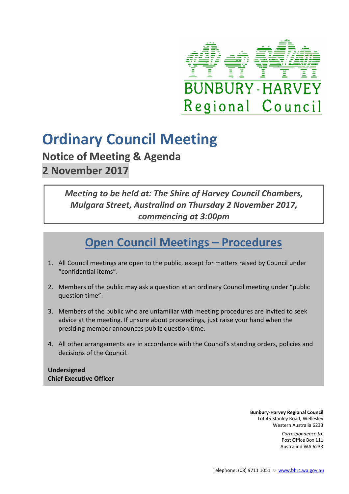

# **Ordinary Council Meeting**

**Notice of Meeting & Agenda 2 November 2017** 

## *Meeting to be held at: The Shire of Harvey Council Chambers, Mulgara Street, Australind on Thursday 2 November 2017, commencing at 3:00pm*

## **Open Council Meetings – Procedures**

- 1. All Council meetings are open to the public, except for matters raised by Council under "confidential items".
- 2. Members of the public may ask a question at an ordinary Council meeting under "public question time".
- 3. Members of the public who are unfamiliar with meeting procedures are invited to seek advice at the meeting. If unsure about proceedings, just raise your hand when the presiding member announces public question time.
- 4. All other arrangements are in accordance with the Council's standing orders, policies and decisions of the Council.

**Undersigned Chief Executive Officer** 

> **Bunbury-Harvey Regional Council** Lot 45 Stanley Road, Wellesley Western Australia 6233

> > *Correspondence to:* Post Office Box 111 Australind WA 6233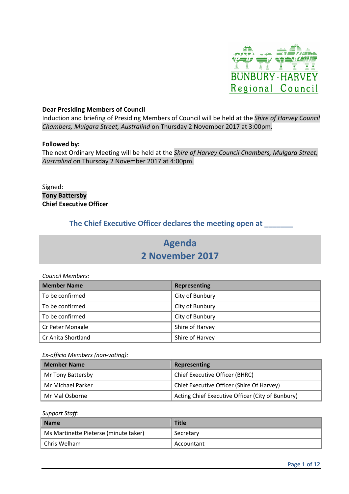

#### **Dear Presiding Members of Council**

Induction and briefing of Presiding Members of Council will be held at the *Shire of Harvey Council Chambers, Mulgara Street, Australind* on Thursday 2 November 2017 at 3:00pm.

#### **Followed by:**

The next Ordinary Meeting will be held at the *Shire of Harvey Council Chambers, Mulgara Street, Australind* on Thursday 2 November 2017 at 4:00pm.

Signed: **Tony Battersby Chief Executive Officer** 

## **The Chief Executive Officer declares the meeting open at \_\_\_\_\_\_\_**

## **Agenda 2 November 2017**

| Council Members:   |                     |  |  |
|--------------------|---------------------|--|--|
| <b>Member Name</b> | <b>Representing</b> |  |  |
| To be confirmed    | City of Bunbury     |  |  |
| To be confirmed    | City of Bunbury     |  |  |
| To be confirmed    | City of Bunbury     |  |  |
| Cr Peter Monagle   | Shire of Harvey     |  |  |
| Cr Anita Shortland | Shire of Harvey     |  |  |

#### *Ex-officio Members (non-voting):*

| <b>Member Name</b> | Representing                                     |
|--------------------|--------------------------------------------------|
| Mr Tony Battersby  | Chief Executive Officer (BHRC)                   |
| Mr Michael Parker  | Chief Executive Officer (Shire Of Harvey)        |
| Mr Mal Osborne     | Acting Chief Executive Officer (City of Bunbury) |

*Support Staff:* 

| Name                                  | <b>Title</b> |
|---------------------------------------|--------------|
| Ms Martinette Pieterse (minute taker) | Secretary    |
| <sup>1</sup> Chris Welham             | Accountant   |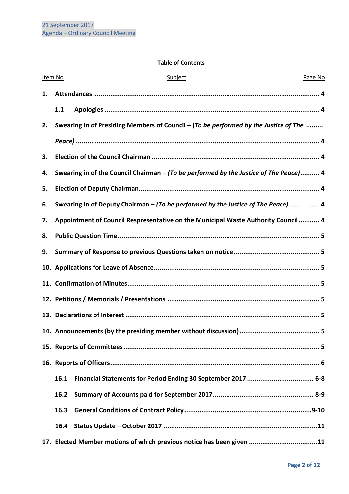## **Table of Contents**

\_\_\_\_\_\_\_\_\_\_\_\_\_\_\_\_\_\_\_\_\_\_\_\_\_\_\_\_\_\_\_\_\_\_\_\_\_\_\_\_\_\_\_\_\_\_\_\_\_\_\_\_\_\_\_\_\_\_\_\_\_\_\_\_\_\_\_\_\_\_\_\_\_\_\_\_\_\_\_\_\_\_\_\_\_\_\_\_\_\_\_\_\_\_\_

| Item No |      | Subject                                                                               | Page No |
|---------|------|---------------------------------------------------------------------------------------|---------|
| 1.      |      |                                                                                       |         |
|         | 1.1  |                                                                                       |         |
| 2.      |      | Swearing in of Presiding Members of Council - (To be performed by the Justice of The  |         |
|         |      |                                                                                       |         |
| 3.      |      |                                                                                       |         |
| 4.      |      | Swearing in of the Council Chairman - (To be performed by the Justice of The Peace) 4 |         |
| 5.      |      |                                                                                       |         |
| 6.      |      | Swearing in of Deputy Chairman - (To be performed by the Justice of The Peace) 4      |         |
| 7.      |      | Appointment of Council Respresentative on the Municipal Waste Authority Council 4     |         |
| 8.      |      |                                                                                       |         |
| 9.      |      |                                                                                       |         |
|         |      |                                                                                       |         |
|         |      |                                                                                       |         |
|         |      |                                                                                       |         |
|         |      |                                                                                       |         |
|         |      |                                                                                       |         |
|         |      |                                                                                       |         |
|         |      |                                                                                       |         |
|         | 16.1 | Financial Statements for Period Ending 30 September 2017  6-8                         |         |
|         | 16.2 |                                                                                       |         |
|         | 16.3 |                                                                                       |         |
|         | 16.4 |                                                                                       |         |
|         |      | 17. Elected Member motions of which previous notice has been given 11                 |         |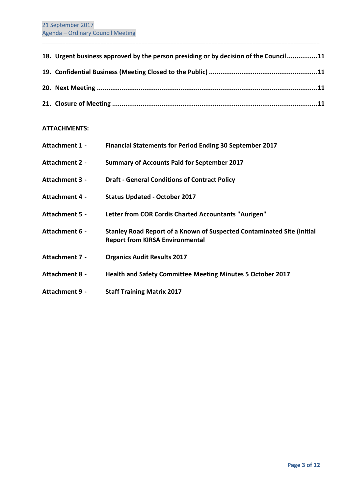| 18. Urgent business approved by the person presiding or by decision of the Council11 |
|--------------------------------------------------------------------------------------|
|                                                                                      |
|                                                                                      |
|                                                                                      |

\_\_\_\_\_\_\_\_\_\_\_\_\_\_\_\_\_\_\_\_\_\_\_\_\_\_\_\_\_\_\_\_\_\_\_\_\_\_\_\_\_\_\_\_\_\_\_\_\_\_\_\_\_\_\_\_\_\_\_\_\_\_\_\_\_\_\_\_\_\_\_\_\_\_\_\_\_\_\_\_\_\_\_\_\_\_\_\_\_\_\_\_\_\_\_

## **ATTACHMENTS:**

| Attachment 1 -        | Financial Statements for Period Ending 30 September 2017                                                         |
|-----------------------|------------------------------------------------------------------------------------------------------------------|
| <b>Attachment 2 -</b> | <b>Summary of Accounts Paid for September 2017</b>                                                               |
| Attachment 3 -        | <b>Draft - General Conditions of Contract Policy</b>                                                             |
| Attachment 4 -        | <b>Status Updated - October 2017</b>                                                                             |
| Attachment 5 -        | Letter from COR Cordis Charted Accountants "Aurigen"                                                             |
| Attachment 6 -        | Stanley Road Report of a Known of Suspected Contaminated Site (Initial<br><b>Report from KIRSA Environmental</b> |
| Attachment 7 -        | <b>Organics Audit Results 2017</b>                                                                               |
| Attachment 8 -        | <b>Health and Safety Committee Meeting Minutes 5 October 2017</b>                                                |
| Attachment 9 -        | <b>Staff Training Matrix 2017</b>                                                                                |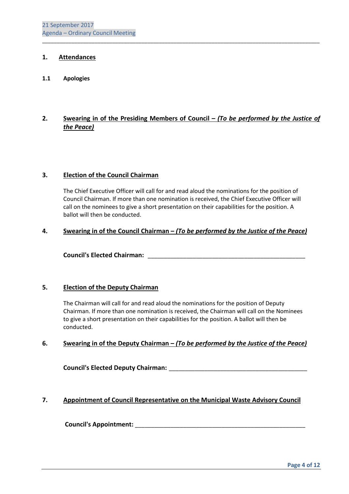## **1. Attendances**

#### **1.1 Apologies**

## **2. Swearing in of the Presiding Members of Council –** *(To be performed by the Justice of the Peace)*

\_\_\_\_\_\_\_\_\_\_\_\_\_\_\_\_\_\_\_\_\_\_\_\_\_\_\_\_\_\_\_\_\_\_\_\_\_\_\_\_\_\_\_\_\_\_\_\_\_\_\_\_\_\_\_\_\_\_\_\_\_\_\_\_\_\_\_\_\_\_\_\_\_\_\_\_\_\_\_\_\_\_\_\_\_\_\_\_\_\_\_\_\_\_\_

#### **3. Election of the Council Chairman**

 The Chief Executive Officer will call for and read aloud the nominations for the position of Council Chairman. If more than one nomination is received, the Chief Executive Officer will call on the nominees to give a short presentation on their capabilities for the position. A ballot will then be conducted.

#### **4. Swearing in of the Council Chairman –** *(To be performed by the Justice of the Peace)*

 **Council's Elected Chairman:** \_\_\_\_\_\_\_\_\_\_\_\_\_\_\_\_\_\_\_\_\_\_\_\_\_\_\_\_\_\_\_\_\_\_\_\_\_\_\_\_\_\_\_\_\_\_\_\_\_

## **5. Election of the Deputy Chairman**

 The Chairman will call for and read aloud the nominations for the position of Deputy Chairman. If more than one nomination is received, the Chairman will call on the Nominees to give a short presentation on their capabilities for the position. A ballot will then be conducted.

## **6. Swearing in of the Deputy Chairman –** *(To be performed by the Justice of the Peace)*

 **Council's Elected Deputy Chairman:** \_\_\_\_\_\_\_\_\_\_\_\_\_\_\_\_\_\_\_\_\_\_\_\_\_\_\_\_\_\_\_\_\_\_\_\_\_\_\_\_\_\_\_

## **7. Appointment of Council Representative on the Municipal Waste Advisory Council**

 **Council's Appointment:** \_\_\_\_\_\_\_\_\_\_\_\_\_\_\_\_\_\_\_\_\_\_\_\_\_\_\_\_\_\_\_\_\_\_\_\_\_\_\_\_\_\_\_\_\_\_\_\_\_\_\_\_\_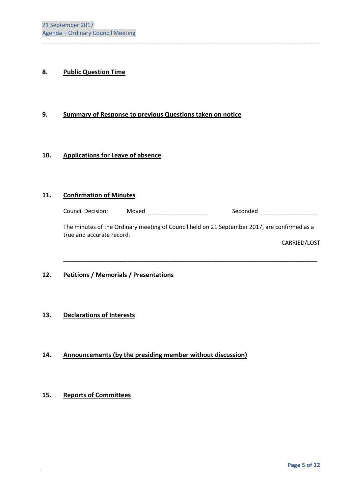## **8. Public Question Time**

## **9. Summary of Response to previous Questions taken on notice**

#### **10. Applications for Leave of absence**

#### **11. Confirmation of Minutes**

| <b>Council Decision:</b> | Moved | Seconded |
|--------------------------|-------|----------|
|--------------------------|-------|----------|

\_\_\_\_\_\_\_\_\_\_\_\_\_\_\_\_\_\_\_\_\_\_\_\_\_\_\_\_\_\_\_\_\_\_\_\_\_\_\_\_\_\_\_\_\_\_\_\_\_\_\_\_\_\_\_\_\_\_\_\_\_\_\_\_\_\_\_\_\_\_\_\_\_\_\_\_\_\_\_\_\_\_\_\_\_\_\_\_\_\_\_\_\_\_\_

The minutes of the Ordinary meeting of Council held on 21 September 2017, are confirmed as a true and accurate record.

 **\_\_\_\_\_\_\_\_\_\_\_\_\_\_\_\_\_\_\_\_\_\_\_\_\_\_\_\_\_\_\_\_\_\_\_\_\_\_\_\_\_\_\_\_\_\_\_\_\_\_\_\_\_\_\_\_\_\_\_\_\_\_\_\_\_\_\_\_\_\_\_\_\_\_\_\_\_\_\_** 

CARRIED/LOST

## **12. Petitions / Memorials / Presentations**

## **13. Declarations of Interests**

**14. Announcements (by the presiding member without discussion)** 

## **15. Reports of Committees**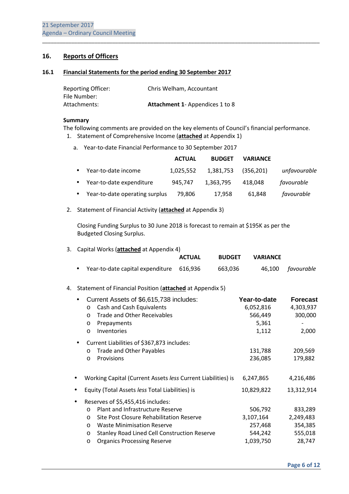## **16. Reports of Officers**

#### **16.1 Financial Statements for the period ending 30 September 2017**

| <b>Reporting Officer:</b> | Chris Welham, Accountant              |
|---------------------------|---------------------------------------|
| File Number:              |                                       |
| Attachments:              | <b>Attachment 1-Appendices 1 to 8</b> |

#### **Summary**

The following comments are provided on the key elements of Council's financial performance.

\_\_\_\_\_\_\_\_\_\_\_\_\_\_\_\_\_\_\_\_\_\_\_\_\_\_\_\_\_\_\_\_\_\_\_\_\_\_\_\_\_\_\_\_\_\_\_\_\_\_\_\_\_\_\_\_\_\_\_\_\_\_\_\_\_\_\_\_\_\_\_\_\_\_\_\_\_\_\_\_\_\_\_\_\_\_\_\_\_\_\_\_\_\_\_

- 1. Statement of Comprehensive Income (**attached** at Appendix 1)
	- a. Year-to-date Financial Performance to 30 September 2017

|           |                                | <b>ACTUAL</b> | <b>BUDGET</b> | <b>VARIANCE</b> |              |
|-----------|--------------------------------|---------------|---------------|-----------------|--------------|
| $\bullet$ | Year-to-date income            | 1.025.552     | 1,381,753     | (356, 201)      | unfavourable |
|           | • Year-to-date expenditure     | 945.747       | 1,363,795     | 418.048         | favourable   |
| $\bullet$ | Year-to-date operating surplus | 79,806        | 17,958        | 61,848          | favourable   |

2. Statement of Financial Activity (**attached** at Appendix 3)

Closing Funding Surplus to 30 June 2018 is forecast to remain at \$195K as per the Budgeted Closing Surplus.

| 3. |                                                     | Capital Works (attached at Appendix 4)                                                                                                                                                                                                              |               |               |                                                         |                                                      |
|----|-----------------------------------------------------|-----------------------------------------------------------------------------------------------------------------------------------------------------------------------------------------------------------------------------------------------------|---------------|---------------|---------------------------------------------------------|------------------------------------------------------|
|    |                                                     |                                                                                                                                                                                                                                                     | <b>ACTUAL</b> | <b>BUDGET</b> | <b>VARIANCE</b>                                         |                                                      |
|    |                                                     | Year-to-date capital expenditure                                                                                                                                                                                                                    | 616,936       | 663,036       | 46,100                                                  | favourable                                           |
| 4. |                                                     | Statement of Financial Position (attached at Appendix 5)                                                                                                                                                                                            |               |               |                                                         |                                                      |
|    | $\circ$<br>$\circ$<br>$\circ$<br>$\circ$            | Current Assets of \$6,615,738 includes:<br>Cash and Cash Equivalents<br><b>Trade and Other Receivables</b><br>Prepayments<br>Inventories                                                                                                            |               |               | Year-to-date<br>6,052,816<br>566,449<br>5,361<br>1,112  | <b>Forecast</b><br>4,303,937<br>300,000<br>2,000     |
|    | ٠<br>$\circ$<br>$\circ$                             | Current Liabilities of \$367,873 includes:<br>Trade and Other Payables<br>Provisions                                                                                                                                                                |               |               | 131,788<br>236,085                                      | 209,569<br>179,882                                   |
|    |                                                     | Working Capital (Current Assets less Current Liabilities) is                                                                                                                                                                                        |               |               | 6,247,865                                               | 4,216,486                                            |
|    |                                                     | Equity (Total Assets less Total Liabilities) is                                                                                                                                                                                                     |               |               | 10,829,822                                              | 13,312,914                                           |
|    | $\circ$<br>$\circ$<br>$\circ$<br>$\circ$<br>$\circ$ | Reserves of \$5,455,416 includes:<br>Plant and Infrastructure Reserve<br>Site Post Closure Rehabilitation Reserve<br><b>Waste Minimisation Reserve</b><br><b>Stanley Road Lined Cell Construction Reserve</b><br><b>Organics Processing Reserve</b> |               |               | 506,792<br>3,107,164<br>257,468<br>544,242<br>1,039,750 | 833,289<br>2,249,483<br>354,385<br>555,018<br>28,747 |
|    |                                                     |                                                                                                                                                                                                                                                     |               |               |                                                         |                                                      |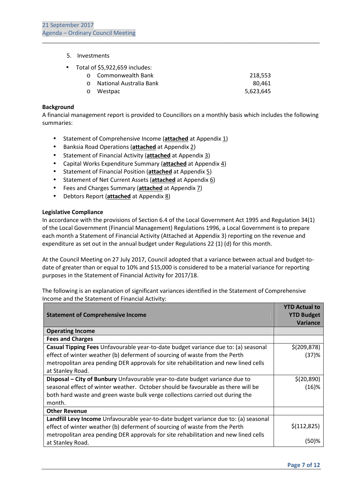- 5. Investments
- Total of \$5,922,659 includes:

|         | o Commonwealth Bank     | 218.553   |
|---------|-------------------------|-----------|
|         | National Australia Bank | 80.461    |
| $\circ$ | Westpac                 | 5,623,645 |

\_\_\_\_\_\_\_\_\_\_\_\_\_\_\_\_\_\_\_\_\_\_\_\_\_\_\_\_\_\_\_\_\_\_\_\_\_\_\_\_\_\_\_\_\_\_\_\_\_\_\_\_\_\_\_\_\_\_\_\_\_\_\_\_\_\_\_\_\_\_\_\_\_\_\_\_\_\_\_\_\_\_\_\_\_\_\_\_\_\_\_\_\_\_\_

#### **Background**

A financial management report is provided to Councillors on a monthly basis which includes the following summaries:

- Statement of Comprehensive Income (**attached** at Appendix 1)
- Banksia Road Operations (**attached** at Appendix 2)
- Statement of Financial Activity (**attached** at Appendix 3)
- Capital Works Expenditure Summary (**attached** at Appendix 4)
- Statement of Financial Position (**attached** at Appendix 5)
- Statement of Net Current Assets (**attached** at Appendix 6)
- Fees and Charges Summary (**attached** at Appendix 7)
- Debtors Report (**attached** at Appendix 8)

#### **Legislative Compliance**

In accordance with the provisions of Section 6.4 of the Local Government Act 1995 and Regulation 34(1) of the Local Government (Financial Management) Regulations 1996, a Local Government is to prepare each month a Statement of Financial Activity (Attached at Appendix 3) reporting on the revenue and expenditure as set out in the annual budget under Regulations 22 (1) (d) for this month.

At the Council Meeting on 27 July 2017, Council adopted that a variance between actual and budget-todate of greater than or equal to 10% and \$15,000 is considered to be a material variance for reporting purposes in the Statement of Financial Activity for 2017/18.

The following is an explanation of significant variances identified in the Statement of Comprehensive Income and the Statement of Financial Activity:

|                                                                                     | <b>YTD Actual to</b> |
|-------------------------------------------------------------------------------------|----------------------|
| <b>Statement of Comprehensive Income</b>                                            | <b>YTD Budget</b>    |
|                                                                                     | <b>Variance</b>      |
| <b>Operating Income</b>                                                             |                      |
| <b>Fees and Charges</b>                                                             |                      |
| Casual Tipping Fees Unfavourable year-to-date budget variance due to: (a) seasonal  | \$(209, 878)         |
| effect of winter weather (b) deferment of sourcing of waste from the Perth          | (37)%                |
| metropolitan area pending DER approvals for site rehabilitation and new lined cells |                      |
| at Stanley Road.                                                                    |                      |
| Disposal - City of Bunbury Unfavourable year-to-date budget variance due to         | \$(20, 890)          |
| seasonal effect of winter weather. October should be favourable as there will be    | $(16)$ %             |
| both hard waste and green waste bulk verge collections carried out during the       |                      |
| month.                                                                              |                      |
| <b>Other Revenue</b>                                                                |                      |
| Landfill Levy Income Unfavourable year-to-date budget variance due to: (a) seasonal |                      |
| effect of winter weather (b) deferment of sourcing of waste from the Perth          | \$(112, 825)         |
| metropolitan area pending DER approvals for site rehabilitation and new lined cells |                      |
| at Stanley Road.                                                                    | (50)%                |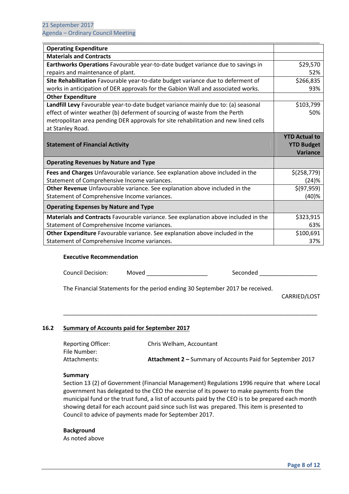| <b>Operating Expenditure</b>                                                        |                      |
|-------------------------------------------------------------------------------------|----------------------|
| <b>Materials and Contracts</b>                                                      |                      |
| Earthworks Operations Favourable year-to-date budget variance due to savings in     | \$29,570             |
| repairs and maintenance of plant.                                                   | 52%                  |
| Site Rehabilitation Favourable year-to-date budget variance due to deferment of     | \$266,835            |
| works in anticipation of DER approvals for the Gabion Wall and associated works.    | 93%                  |
| <b>Other Expenditure</b>                                                            |                      |
| Landfill Levy Favourable year-to-date budget variance mainly due to: (a) seasonal   | \$103,799            |
| effect of winter weather (b) deferment of sourcing of waste from the Perth          | 50%                  |
| metropolitan area pending DER approvals for site rehabilitation and new lined cells |                      |
| at Stanley Road.                                                                    |                      |
|                                                                                     | <b>YTD Actual to</b> |
|                                                                                     |                      |
| <b>Statement of Financial Activity</b>                                              | <b>YTD Budget</b>    |
|                                                                                     | Variance             |
| <b>Operating Revenues by Nature and Type</b>                                        |                      |
| Fees and Charges Unfavourable variance. See explanation above included in the       | \$(258,779)          |
| Statement of Comprehensive Income variances.                                        | (24)%                |
| Other Revenue Unfavourable variance. See explanation above included in the          | \$(97,959)           |
| Statement of Comprehensive Income variances.                                        | (40)%                |
| <b>Operating Expenses by Nature and Type</b>                                        |                      |
| Materials and Contracts Favourable variance. See explanation above included in the  | \$323,915            |
| Statement of Comprehensive Income variances.                                        | 63%                  |
| Other Expenditure Favourable variance. See explanation above included in the        | \$100,691            |

#### **Executive Recommendation**

Council Decision: Moved \_\_\_\_\_\_\_\_\_\_\_\_\_\_\_\_\_\_\_\_\_ Seconded \_\_\_\_\_\_\_\_\_\_\_\_\_\_\_\_\_\_\_\_\_\_\_\_\_

The Financial Statements for the period ending 30 September 2017 be received.

CARRIED/LOST

#### **16.2 Summary of Accounts paid for September 2017**

| <b>Reporting Officer:</b> | Chris Welham, Accountant                                          |
|---------------------------|-------------------------------------------------------------------|
| File Number:              |                                                                   |
| Attachments:              | <b>Attachment 2 - Summary of Accounts Paid for September 2017</b> |

\_\_\_\_\_\_\_\_\_\_\_\_\_\_\_\_\_\_\_\_\_\_\_\_\_\_\_\_\_\_\_\_\_\_\_\_\_\_\_\_\_\_\_\_\_\_\_\_\_\_\_\_\_\_\_\_\_\_\_\_\_\_\_\_\_\_\_\_\_\_\_\_\_\_\_\_\_\_\_

#### **Summary**

Section 13 (2) of Government (Financial Management) Regulations 1996 require that where Local government has delegated to the CEO the exercise of its power to make payments from the municipal fund or the trust fund, a list of accounts paid by the CEO is to be prepared each month showing detail for each account paid since such list was prepared. This item is presented to Council to advice of payments made for September 2017.

#### **Background**

As noted above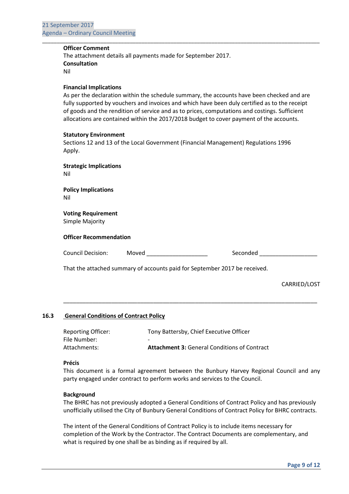#### **Officer Comment**

 The attachment details all payments made for September 2017.  **Consultation**  Nil

#### **Financial Implications**

 As per the declaration within the schedule summary, the accounts have been checked and are fully supported by vouchers and invoices and which have been duly certified as to the receipt of goods and the rendition of service and as to prices, computations and costings. Sufficient allocations are contained within the 2017/2018 budget to cover payment of the accounts.

\_\_\_\_\_\_\_\_\_\_\_\_\_\_\_\_\_\_\_\_\_\_\_\_\_\_\_\_\_\_\_\_\_\_\_\_\_\_\_\_\_\_\_\_\_\_\_\_\_\_\_\_\_\_\_\_\_\_\_\_\_\_\_\_\_\_\_\_\_\_\_\_\_\_\_\_\_\_\_\_\_\_\_\_\_\_\_\_\_\_\_\_\_\_\_

#### **Statutory Environment**

Sections 12 and 13 of the Local Government (Financial Management) Regulations 1996 Apply.

 **Strategic Implications**  Nil

 **Policy Implications**  Nil

 **Voting Requirement**  Simple Majority

#### **Officer Recommendation**

\_\_\_\_\_\_\_\_\_\_\_\_\_\_\_\_\_\_\_\_\_\_\_\_\_\_\_\_\_\_\_\_\_\_\_\_\_\_\_\_\_\_\_\_\_\_\_\_\_\_\_\_\_\_\_\_\_\_\_\_\_\_\_\_\_\_\_\_\_\_\_\_\_\_\_\_\_\_\_

Council Decision: Moved \_\_\_\_\_\_\_\_\_\_\_\_\_\_\_\_\_\_\_ Seconded \_\_\_\_\_\_\_\_\_\_\_\_\_\_\_\_\_\_

That the attached summary of accounts paid for September 2017 be received.

CARRIED/LOST

#### **16.3 General Conditions of Contract Policy**

| <b>Reporting Officer:</b> | Tony Battersby, Chief Executive Officer             |
|---------------------------|-----------------------------------------------------|
| File Number:              | $\overline{\phantom{0}}$                            |
| Attachments:              | <b>Attachment 3: General Conditions of Contract</b> |

#### **Précis**

This document is a formal agreement between the Bunbury Harvey Regional Council and any party engaged under contract to perform works and services to the Council.

#### **Background**

 The BHRC has not previously adopted a General Conditions of Contract Policy and has previously unofficially utilised the City of Bunbury General Conditions of Contract Policy for BHRC contracts.

 The intent of the General Conditions of Contract Policy is to include items necessary for completion of the Work by the Contractor. The Contract Documents are complementary, and what is required by one shall be as binding as if required by all.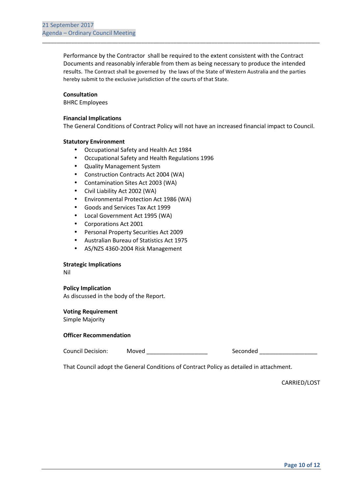Performance by the Contractor shall be required to the extent consistent with the Contract Documents and reasonably inferable from them as being necessary to produce the intended results. The Contract shall be governed by the laws of the State of Western Australia and the parties hereby submit to the exclusive jurisdiction of the courts of that State.

\_\_\_\_\_\_\_\_\_\_\_\_\_\_\_\_\_\_\_\_\_\_\_\_\_\_\_\_\_\_\_\_\_\_\_\_\_\_\_\_\_\_\_\_\_\_\_\_\_\_\_\_\_\_\_\_\_\_\_\_\_\_\_\_\_\_\_\_\_\_\_\_\_\_\_\_\_\_\_\_\_\_\_\_\_\_\_\_\_\_\_\_\_\_\_

#### **Consultation**

BHRC Employees

#### **Financial Implications**

The General Conditions of Contract Policy will not have an increased financial impact to Council.

#### **Statutory Environment**

- Occupational Safety and Health Act 1984
- Occupational Safety and Health Regulations 1996
- Quality Management System
- Construction Contracts Act 2004 (WA)
- Contamination Sites Act 2003 (WA)
- Civil Liability Act 2002 (WA)
- Environmental Protection Act 1986 (WA)
- Goods and Services Tax Act 1999
- Local Government Act 1995 (WA)
- Corporations Act 2001
- Personal Property Securities Act 2009
- Australian Bureau of Statistics Act 1975
- AS/NZS 4360-2004 Risk Management

#### **Strategic Implications**

Nil

#### **Policy Implication**

As discussed in the body of the Report.

#### **Voting Requirement**

Simple Majority

#### **Officer Recommendation**

Council Decision: Moved \_\_\_\_\_\_\_\_\_\_\_\_\_\_\_\_\_\_\_ Seconded \_\_\_\_\_\_\_\_\_\_\_\_\_\_\_\_\_\_

That Council adopt the General Conditions of Contract Policy as detailed in attachment.

CARRIED/LOST